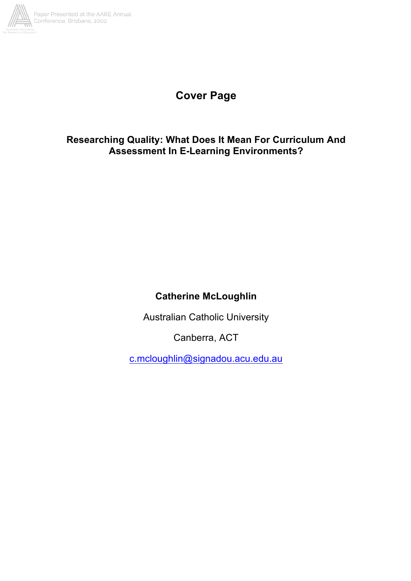

# **Cover Page**

## **Researching Quality: What Does It Mean For Curriculum And Assessment In E-Learning Environments?**

## **Catherine McLoughlin**

Australian Catholic University

Canberra, ACT

c.mcloughlin@signadou.acu.edu.au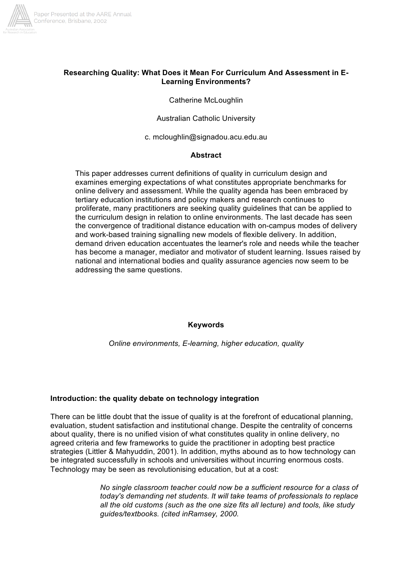

#### **Researching Quality: What Does it Mean For Curriculum And Assessment in E-Learning Environments?**

Catherine McLoughlin

Australian Catholic University

c. mcloughlin@signadou.acu.edu.au

#### **Abstract**

This paper addresses current definitions of quality in curriculum design and examines emerging expectations of what constitutes appropriate benchmarks for online delivery and assessment. While the quality agenda has been embraced by tertiary education institutions and policy makers and research continues to proliferate, many practitioners are seeking quality guidelines that can be applied to the curriculum design in relation to online environments. The last decade has seen the convergence of traditional distance education with on-campus modes of delivery and work-based training signalling new models of flexible delivery. In addition, demand driven education accentuates the learner's role and needs while the teacher has become a manager, mediator and motivator of student learning. Issues raised by national and international bodies and quality assurance agencies now seem to be addressing the same questions.

#### **Keywords**

*Online environments, E-learning, higher education, quality*

#### **Introduction: the quality debate on technology integration**

There can be little doubt that the issue of quality is at the forefront of educational planning, evaluation, student satisfaction and institutional change. Despite the centrality of concerns about quality, there is no unified vision of what constitutes quality in online delivery, no agreed criteria and few frameworks to guide the practitioner in adopting best practice strategies (Littler & Mahyuddin, 2001). In addition, myths abound as to how technology can be integrated successfully in schools and universities without incurring enormous costs. Technology may be seen as revolutionising education, but at a cost:

> *No single classroom teacher could now be a sufficient resource for a class of today's demanding net students. It will take teams of professionals to replace all the old customs (such as the one size fits all lecture) and tools, like study guides/textbooks. (cited inRamsey, 2000.*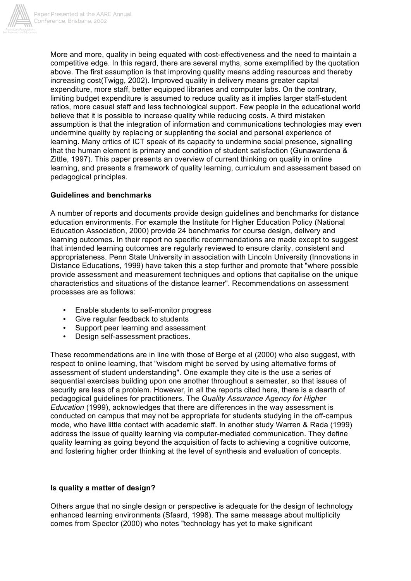

More and more, quality in being equated with cost-effectiveness and the need to maintain a competitive edge. In this regard, there are several myths, some exemplified by the quotation above. The first assumption is that improving quality means adding resources and thereby increasing cost(Twigg, 2002). Improved quality in delivery means greater capital expenditure, more staff, better equipped libraries and computer labs. On the contrary, limiting budget expenditure is assumed to reduce quality as it implies larger staff-student ratios, more casual staff and less technological support. Few people in the educational world believe that it is possible to increase quality while reducing costs. A third mistaken assumption is that the integration of information and communications technologies may even undermine quality by replacing or supplanting the social and personal experience of learning. Many critics of ICT speak of its capacity to undermine social presence, signalling that the human element is primary and condition of student satisfaction (Gunawardena & Zittle, 1997). This paper presents an overview of current thinking on quality in online learning, and presents a framework of quality learning, curriculum and assessment based on pedagogical principles.

#### **Guidelines and benchmarks**

A number of reports and documents provide design guidelines and benchmarks for distance education environments. For example the Institute for Higher Education Policy (National Education Association, 2000) provide 24 benchmarks for course design, delivery and learning outcomes. In their report no specific recommendations are made except to suggest that intended learning outcomes are regularly reviewed to ensure clarity, consistent and appropriateness. Penn State University in association with Lincoln University (Innovations in Distance Educations, 1999) have taken this a step further and promote that "where possible provide assessment and measurement techniques and options that capitalise on the unique characteristics and situations of the distance learner". Recommendations on assessment processes are as follows:

- Enable students to self-monitor progress
- Give regular feedback to students
- Support peer learning and assessment
- Design self-assessment practices.

These recommendations are in line with those of Berge et al (2000) who also suggest, with respect to online learning, that "wisdom might be served by using alternative forms of assessment of student understanding". One example they cite is the use a series of sequential exercises building upon one another throughout a semester, so that issues of security are less of a problem. However, in all the reports cited here, there is a dearth of pedagogical guidelines for practitioners. The *Quality Assurance Agency for Higher Education* (1999), acknowledges that there are differences in the way assessment is conducted on campus that may not be appropriate for students studying in the off-campus mode, who have little contact with academic staff. In another study Warren & Rada (1999) address the issue of quality learning via computer-mediated communication. They define quality learning as going beyond the acquisition of facts to achieving a cognitive outcome, and fostering higher order thinking at the level of synthesis and evaluation of concepts.

#### **Is quality a matter of design?**

Others argue that no single design or perspective is adequate for the design of technology enhanced learning environments (Sfaard, 1998). The same message about multiplicity comes from Spector (2000) who notes "technology has yet to make significant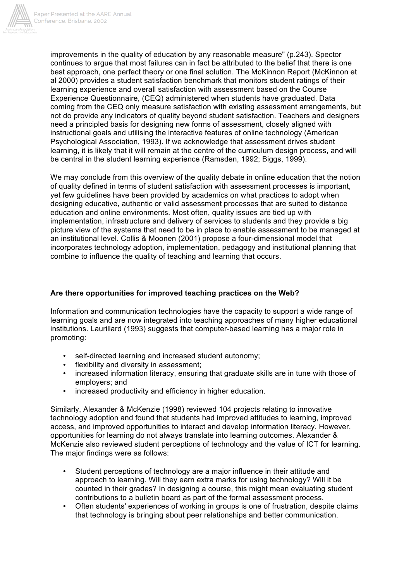

improvements in the quality of education by any reasonable measure" (p.243). Spector continues to argue that most failures can in fact be attributed to the belief that there is one best approach, one perfect theory or one final solution. The McKinnon Report (McKinnon et al 2000) provides a student satisfaction benchmark that monitors student ratings of their learning experience and overall satisfaction with assessment based on the Course Experience Questionnaire, (CEQ) administered when students have graduated. Data coming from the CEQ only measure satisfaction with existing assessment arrangements, but not do provide any indicators of quality beyond student satisfaction. Teachers and designers need a principled basis for designing new forms of assessment, closely aligned with instructional goals and utilising the interactive features of online technology (American Psychological Association, 1993). If we acknowledge that assessment drives student learning, it is likely that it will remain at the centre of the curriculum design process, and will be central in the student learning experience (Ramsden, 1992; Biggs, 1999).

We may conclude from this overview of the quality debate in online education that the notion of quality defined in terms of student satisfaction with assessment processes is important, yet few guidelines have been provided by academics on what practices to adopt when designing educative, authentic or valid assessment processes that are suited to distance education and online environments. Most often, quality issues are tied up with implementation, infrastructure and delivery of services to students and they provide a big picture view of the systems that need to be in place to enable assessment to be managed at an institutional level. Collis & Moonen (2001) propose a four-dimensional model that incorporates technology adoption, implementation, pedagogy and institutional planning that combine to influence the quality of teaching and learning that occurs.

## **Are there opportunities for improved teaching practices on the Web?**

Information and communication technologies have the capacity to support a wide range of learning goals and are now integrated into teaching approaches of many higher educational institutions. Laurillard (1993) suggests that computer-based learning has a major role in promoting:

- self-directed learning and increased student autonomy;
- flexibility and diversity in assessment;
- increased information literacy, ensuring that graduate skills are in tune with those of employers; and
- increased productivity and efficiency in higher education.

Similarly, Alexander & McKenzie (1998) reviewed 104 projects relating to innovative technology adoption and found that students had improved attitudes to learning, improved access, and improved opportunities to interact and develop information literacy. However, opportunities for learning do not always translate into learning outcomes. Alexander & McKenzie also reviewed student perceptions of technology and the value of ICT for learning. The major findings were as follows:

- Student perceptions of technology are a major influence in their attitude and approach to learning. Will they earn extra marks for using technology? Will it be counted in their grades? In designing a course, this might mean evaluating student contributions to a bulletin board as part of the formal assessment process.
- Often students' experiences of working in groups is one of frustration, despite claims that technology is bringing about peer relationships and better communication.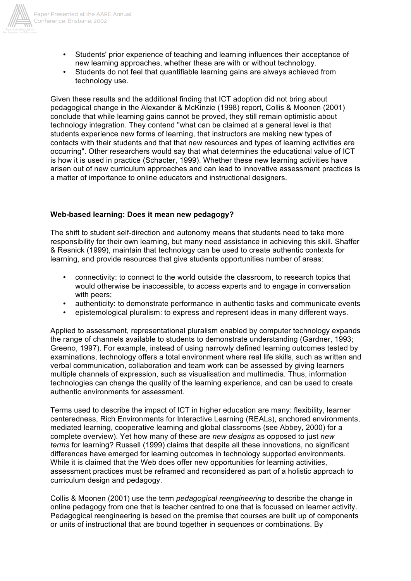

- Students' prior experience of teaching and learning influences their acceptance of new learning approaches, whether these are with or without technology.
- Students do not feel that quantifiable learning gains are always achieved from technology use.

Given these results and the additional finding that ICT adoption did not bring about pedagogical change in the Alexander & McKinzie (1998) report, Collis & Moonen (2001) conclude that while learning gains cannot be proved, they still remain optimistic about technology integration. They contend "what can be claimed at a general level is that students experience new forms of learning, that instructors are making new types of contacts with their students and that that new resources and types of learning activities are occurring". Other researchers would say that what determines the educational value of ICT is how it is used in practice (Schacter, 1999). Whether these new learning activities have arisen out of new curriculum approaches and can lead to innovative assessment practices is a matter of importance to online educators and instructional designers.

#### **Web-based learning: Does it mean new pedagogy?**

The shift to student self-direction and autonomy means that students need to take more responsibility for their own learning, but many need assistance in achieving this skill. Shaffer & Resnick (1999), maintain that technology can be used to create authentic contexts for learning, and provide resources that give students opportunities number of areas:

- connectivity: to connect to the world outside the classroom, to research topics that would otherwise be inaccessible, to access experts and to engage in conversation with peers;
- authenticity: to demonstrate performance in authentic tasks and communicate events
- epistemological pluralism: to express and represent ideas in many different ways.

Applied to assessment, representational pluralism enabled by computer technology expands the range of channels available to students to demonstrate understanding (Gardner, 1993; Greeno, 1997). For example, instead of using narrowly defined learning outcomes tested by examinations, technology offers a total environment where real life skills, such as written and verbal communication, collaboration and team work can be assessed by giving learners multiple channels of expression, such as visualisation and multimedia. Thus, information technologies can change the quality of the learning experience, and can be used to create authentic environments for assessment.

Terms used to describe the impact of ICT in higher education are many: flexibility, learner centeredness, Rich Environments for Interactive Learning (REALs), anchored environments, mediated learning, cooperative learning and global classrooms (see Abbey, 2000) for a complete overview). Yet how many of these are *new designs* as opposed to just *new terms* for learning? Russell (1999) claims that despite all these innovations, no significant differences have emerged for learning outcomes in technology supported environments. While it is claimed that the Web does offer new opportunities for learning activities, assessment practices must be reframed and reconsidered as part of a holistic approach to curriculum design and pedagogy.

Collis & Moonen (2001) use the term *pedagogical reengineering* to describe the change in online pedagogy from one that is teacher centred to one that is focussed on learner activity. Pedagogical reengineering is based on the premise that courses are built up of components or units of instructional that are bound together in sequences or combinations. By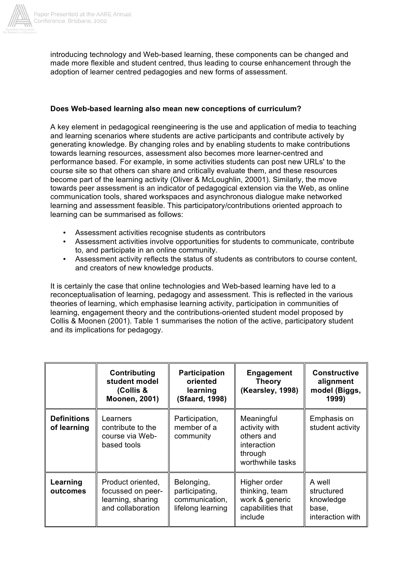

introducing technology and Web-based learning, these components can be changed and made more flexible and student centred, thus leading to course enhancement through the adoption of learner centred pedagogies and new forms of assessment.

#### **Does Web-based learning also mean new conceptions of curriculum?**

A key element in pedagogical reengineering is the use and application of media to teaching and learning scenarios where students are active participants and contribute actively by generating knowledge. By changing roles and by enabling students to make contributions towards learning resources, assessment also becomes more learner-centred and performance based. For example, in some activities students can post new URLs' to the course site so that others can share and critically evaluate them, and these resources become part of the learning activity (Oliver & McLoughlin, 20001). Similarly, the move towards peer assessment is an indicator of pedagogical extension via the Web, as online communication tools, shared workspaces and asynchronous dialogue make networked learning and assessment feasible. This participatory/contributions oriented approach to learning can be summarised as follows:

- Assessment activities recognise students as contributors
- Assessment activities involve opportunities for students to communicate, contribute to, and participate in an online community.
- Assessment activity reflects the status of students as contributors to course content, and creators of new knowledge products.

It is certainly the case that online technologies and Web-based learning have led to a reconceptualisation of learning, pedagogy and assessment. This is reflected in the various theories of learning, which emphasise learning activity, participation in communities of learning, engagement theory and the contributions-oriented student model proposed by Collis & Moonen (2001). Table 1 summarises the notion of the active, participatory student and its implications for pedagogy.

|                                   | Contributing<br>student model<br>(Collis &<br><b>Moonen, 2001)</b>               | <b>Participation</b><br>oriented<br>learning<br>(Sfaard, 1998)      | <b>Engagement</b><br><b>Theory</b><br>(Kearsley, 1998)                                  | <b>Constructive</b><br>alignment<br>model (Biggs,<br>1999)     |
|-----------------------------------|----------------------------------------------------------------------------------|---------------------------------------------------------------------|-----------------------------------------------------------------------------------------|----------------------------------------------------------------|
| <b>Definitions</b><br>of learning | Learners<br>contribute to the<br>course via Web-<br>based tools                  | Participation,<br>member of a<br>community                          | Meaningful<br>activity with<br>others and<br>interaction<br>through<br>worthwhile tasks | Emphasis on<br>student activity                                |
| Learning<br>outcomes              | Product oriented,<br>focussed on peer-<br>learning, sharing<br>and collaboration | Belonging,<br>participating,<br>communication,<br>lifelong learning | Higher order<br>thinking, team<br>work & generic<br>capabilities that<br>include        | A well<br>structured<br>knowledge<br>base,<br>interaction with |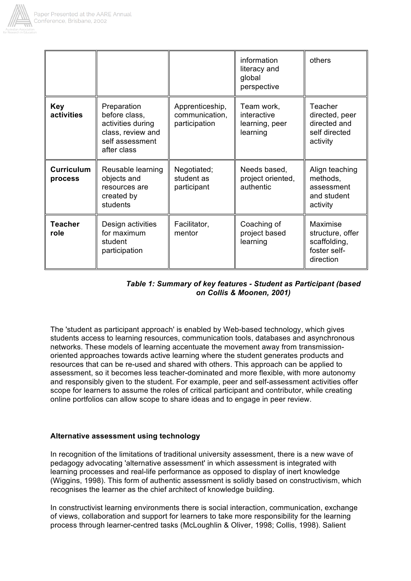

|                              |                                                                                                          |                                                    | information<br>literacy and<br>global<br>perspective    | others                                                                           |
|------------------------------|----------------------------------------------------------------------------------------------------------|----------------------------------------------------|---------------------------------------------------------|----------------------------------------------------------------------------------|
| <b>Key</b><br>activities     | Preparation<br>before class,<br>activities during<br>class, review and<br>self assessment<br>after class | Apprenticeship,<br>communication,<br>participation | Team work,<br>interactive<br>learning, peer<br>learning | Teacher<br>directed, peer<br>directed and<br>self directed<br>activity           |
| <b>Curriculum</b><br>process | Reusable learning<br>objects and<br>resources are<br>created by<br>students                              | Negotiated;<br>student as<br>participant           | Needs based,<br>project oriented,<br>authentic          | Align teaching<br>methods,<br>assessment<br>and student<br>activity              |
| <b>Teacher</b><br>role       | Design activities<br>for maximum<br>student<br>participation                                             | Facilitator,<br>mentor                             | Coaching of<br>project based<br>learning                | <b>Maximise</b><br>structure, offer<br>scaffolding,<br>foster self-<br>direction |

### *Table 1: Summary of key features - Student as Participant (based on Collis & Moonen, 2001)*

The 'student as participant approach' is enabled by Web-based technology, which gives students access to learning resources, communication tools, databases and asynchronous networks. These models of learning accentuate the movement away from transmissionoriented approaches towards active learning where the student generates products and resources that can be re-used and shared with others. This approach can be applied to assessment, so it becomes less teacher-dominated and more flexible, with more autonomy and responsibly given to the student. For example, peer and self-assessment activities offer scope for learners to assume the roles of critical participant and contributor, while creating online portfolios can allow scope to share ideas and to engage in peer review.

## **Alternative assessment using technology**

In recognition of the limitations of traditional university assessment, there is a new wave of pedagogy advocating 'alternative assessment' in which assessment is integrated with learning processes and real-life performance as opposed to display of inert knowledge (Wiggins, 1998). This form of authentic assessment is solidly based on constructivism, which recognises the learner as the chief architect of knowledge building.

In constructivist learning environments there is social interaction, communication, exchange of views, collaboration and support for learners to take more responsibility for the learning process through learner-centred tasks (McLoughlin & Oliver, 1998; Collis, 1998). Salient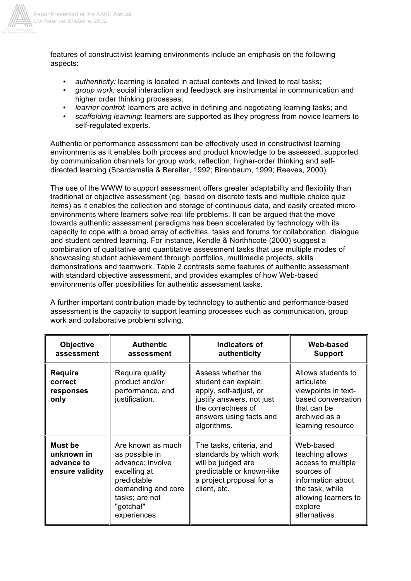

features of constructivist learning environments include an emphasis on the following aspects:

- *authenticity:* learning is located in actual contexts and linked to real tasks;
- *group work:* social interaction and feedback are instrumental in communication and higher order thinking processes;
- *learner control*: learners are active in defining and negotiating learning tasks; and
- *scaffolding learning*: learners are supported as they progress from novice learners to self-regulated experts.

Authentic or performance assessment can be effectively used in constructivist learning environments as it enables both process and product knowledge to be assessed, supported by communication channels for group work, reflection, higher-order thinking and selfdirected learning (Scardamalia & Bereiter, 1992; Birenbaum, 1999; Reeves, 2000).

The use of the WWW to support assessment offers greater adaptability and flexibility than traditional or objective assessment (eg, based on discrete tests and multiple choice quiz items) as it enables the collection and storage of continuous data, and easily created microenvironments where learners solve real life problems. It can be argued that the move towards authentic assessment paradigms has been accelerated by technology with its capacity to cope with a broad array of activities, tasks and forums for collaboration, dialogue and student centred learning. For instance, Kendle & Northhcote (2000) suggest a combination of qualitative and quantitative assessment tasks that use multiple modes of showcasing student achievement through portfolios, multimedia projects, skills demonstrations and teamwork. Table 2 contrasts some features of authentic assessment with standard objective assessment, and provides examples of how Web-based environments offer possibilities for authentic assessment tasks.

A further important contribution made by technology to authentic and performance-based assessment is the capacity to support learning processes such as communication, group work and collaborative problem solving.

| <b>Objective</b><br>assessment                         | <b>Authentic</b><br>assessment                                                                                                                              | Indicators of<br>authenticity                                                                                                                                     | Web-based<br><b>Support</b>                                                                                                                                  |
|--------------------------------------------------------|-------------------------------------------------------------------------------------------------------------------------------------------------------------|-------------------------------------------------------------------------------------------------------------------------------------------------------------------|--------------------------------------------------------------------------------------------------------------------------------------------------------------|
| <b>Require</b><br>correct<br>responses<br>only         | Require quality<br>product and/or<br>performance, and<br>justification.                                                                                     | Assess whether the<br>student can explain,<br>apply, self-adjust, or<br>justify answers, not just<br>the correctness of<br>answers using facts and<br>algorithms. | Allows students to<br>articulate<br>viewpoints in text-<br>based conversation<br>that can be<br>archived as a<br>learning resource                           |
| Must be<br>unknown in<br>advance to<br>ensure validity | Are known as much<br>as possible in<br>advance; involve<br>excelling at<br>predictable<br>demanding and core<br>tasks; are not<br>"gotcha!"<br>experiences. | The tasks, criteria, and<br>standards by which work<br>will be judged are<br>predictable or known-like<br>a project proposal for a<br>client, etc.                | Web-based<br>teaching allows<br>access to multiple<br>sources of<br>information about<br>the task, while<br>allowing learners to<br>explore<br>alternatives. |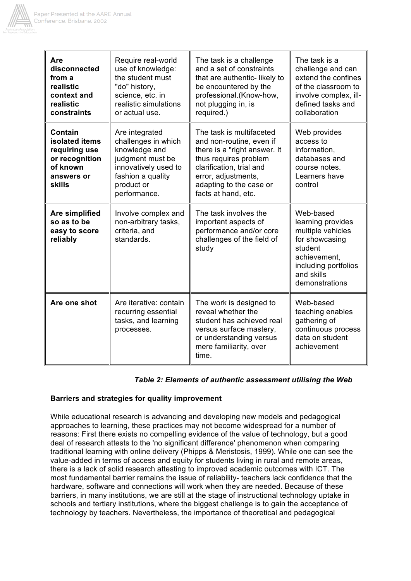

| Are<br>disconnected<br>from a<br>realistic<br>context and<br>realistic<br>constraints            | Require real-world<br>use of knowledge:<br>the student must<br>"do" history,<br>science, etc. in<br>realistic simulations<br>or actual use.           | The task is a challenge<br>and a set of constraints<br>that are authentic-likely to<br>be encountered by the<br>professional.(Know-how,<br>not plugging in, is<br>required.)                                       | The task is a<br>challenge and can<br>extend the confines<br>of the classroom to<br>involve complex, ill-<br>defined tasks and<br>collaboration          |
|--------------------------------------------------------------------------------------------------|-------------------------------------------------------------------------------------------------------------------------------------------------------|--------------------------------------------------------------------------------------------------------------------------------------------------------------------------------------------------------------------|----------------------------------------------------------------------------------------------------------------------------------------------------------|
| Contain<br>isolated items<br>requiring use<br>or recognition<br>of known<br>answers or<br>skills | Are integrated<br>challenges in which<br>knowledge and<br>judgment must be<br>innovatively used to<br>fashion a quality<br>product or<br>performance. | The task is multifaceted<br>and non-routine, even if<br>there is a "right answer. It<br>thus requires problem<br>clarification, trial and<br>error, adjustments,<br>adapting to the case or<br>facts at hand, etc. | Web provides<br>access to<br>information,<br>databases and<br>course notes.<br>Learners have<br>control                                                  |
| Are simplified<br>so as to be<br>easy to score<br>reliably                                       | Involve complex and<br>non-arbitrary tasks,<br>criteria, and<br>standards.                                                                            | The task involves the<br>important aspects of<br>performance and/or core<br>challenges of the field of<br>study                                                                                                    | Web-based<br>learning provides<br>multiple vehicles<br>for showcasing<br>student<br>achievement,<br>including portfolios<br>and skills<br>demonstrations |
| Are one shot                                                                                     | Are iterative: contain<br>recurring essential<br>tasks, and learning<br>processes.                                                                    | The work is designed to<br>reveal whether the<br>student has achieved real<br>versus surface mastery,<br>or understanding versus<br>mere familiarity, over<br>time.                                                | Web-based<br>teaching enables<br>gathering of<br>continuous process<br>data on student<br>achievement                                                    |

## *Table 2: Elements of authentic assessment utilising the Web*

## **Barriers and strategies for quality improvement**

While educational research is advancing and developing new models and pedagogical approaches to learning, these practices may not become widespread for a number of reasons: First there exists no compelling evidence of the value of technology, but a good deal of research attests to the 'no significant difference' phenomenon when comparing traditional learning with online delivery (Phipps & Meristosis, 1999). While one can see the value-added in terms of access and equity for students living in rural and remote areas, there is a lack of solid research attesting to improved academic outcomes with ICT. The most fundamental barrier remains the issue of reliability- teachers lack confidence that the hardware, software and connections will work when they are needed. Because of these barriers, in many institutions, we are still at the stage of instructional technology uptake in schools and tertiary institutions, where the biggest challenge is to gain the acceptance of technology by teachers. Nevertheless, the importance of theoretical and pedagogical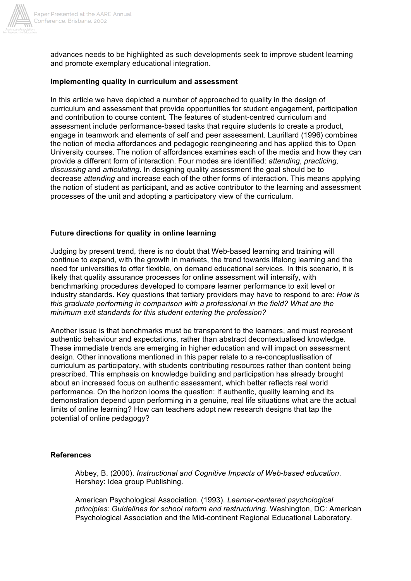

advances needs to be highlighted as such developments seek to improve student learning and promote exemplary educational integration.

#### **Implementing quality in curriculum and assessment**

In this article we have depicted a number of approached to quality in the design of curriculum and assessment that provide opportunities for student engagement, participation and contribution to course content. The features of student-centred curriculum and assessment include performance-based tasks that require students to create a product, engage in teamwork and elements of self and peer assessment. Laurillard (1996) combines the notion of media affordances and pedagogic reengineering and has applied this to Open University courses. The notion of affordances examines each of the media and how they can provide a different form of interaction. Four modes are identified: *attending, practicing, discussing* and *articulating*. In designing quality assessment the goal should be to decrease *attending* and increase each of the other forms of interaction. This means applying the notion of student as participant, and as active contributor to the learning and assessment processes of the unit and adopting a participatory view of the curriculum.

#### **Future directions for quality in online learning**

Judging by present trend, there is no doubt that Web-based learning and training will continue to expand, with the growth in markets, the trend towards lifelong learning and the need for universities to offer flexible, on demand educational services. In this scenario, it is likely that quality assurance processes for online assessment will intensify, with benchmarking procedures developed to compare learner performance to exit level or industry standards. Key questions that tertiary providers may have to respond to are: *How is this graduate performing in comparison with a professional in the field? What are the minimum exit standards for this student entering the profession?*

Another issue is that benchmarks must be transparent to the learners, and must represent authentic behaviour and expectations, rather than abstract decontextualised knowledge. These immediate trends are emerging in higher education and will impact on assessment design. Other innovations mentioned in this paper relate to a re-conceptualisation of curriculum as participatory, with students contributing resources rather than content being prescribed. This emphasis on knowledge building and participation has already brought about an increased focus on authentic assessment, which better reflects real world performance. On the horizon looms the question: If authentic, quality learning and its demonstration depend upon performing in a genuine, real life situations what are the actual limits of online learning? How can teachers adopt new research designs that tap the potential of online pedagogy?

#### **References**

Abbey, B. (2000). *Instructional and Cognitive Impacts of Web-based education*. Hershey: Idea group Publishing.

American Psychological Association. (1993). *Learner-centered psychological principles: Guidelines for school reform and restructuring*. Washington, DC: American Psychological Association and the Mid-continent Regional Educational Laboratory.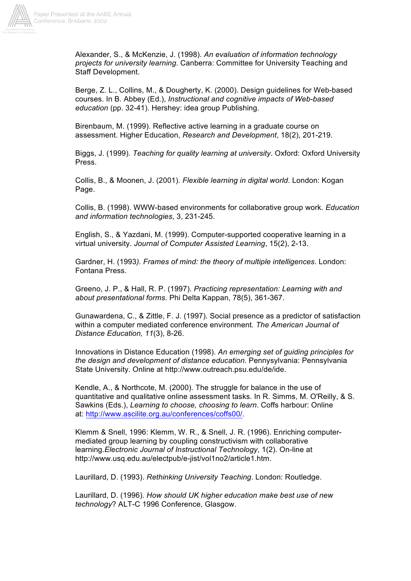

Alexander, S., & McKenzie, J. (1998). *An evaluation of information technology projects for university learning*. Canberra: Committee for University Teaching and Staff Development.

Berge, Z. L., Collins, M., & Dougherty, K. (2000). Design guidelines for Web-based courses. In B. Abbey (Ed.), *Instructional and cognitive impacts of Web-based education* (pp. 32-41). Hershey: idea group Publishing.

Birenbaum, M. (1999). Reflective active learning in a graduate course on assessment. Higher Education, *Research and Development*, 18(2), 201-219.

Biggs, J. (1999). *Teaching for quality learning at university*. Oxford: Oxford University Press.

Collis, B., & Moonen, J. (2001). *Flexible learning in digital world*. London: Kogan Page.

Collis, B. (1998). WWW-based environments for collaborative group work. *Education and information technologies*, 3, 231-245.

English, S., & Yazdani, M. (1999). Computer-supported cooperative learning in a virtual university. *Journal of Computer Assisted Learning*, 15(2), 2-13.

Gardner, H. (1993*). Frames of mind: the theory of multiple intelligences*. London: Fontana Press.

Greeno, J. P., & Hall, R. P. (1997). *Practicing representation: Learning with and about presentational forms*. Phi Delta Kappan, 78(5), 361-367.

Gunawardena, C., & Zittle, F. J. (1997). Social presence as a predictor of satisfaction within a computer mediated conference environment. *The American Journal of Distance Education, 11*(3), 8-26.

Innovations in Distance Education (1998). *An emerging set of guiding principles for the design and development of distance education*. Pennysylvania: Pennsylvania State University. Online at http://www.outreach.psu.edu/de/ide.

Kendle, A., & Northcote, M. (2000). The struggle for balance in the use of quantitative and qualitative online assessment tasks. In R. Simms, M. O'Reilly, & S. Sawkins (Eds.), *Learning to choose, choosing to learn*. Coffs harbour: Online at: http://www.ascilite.org.au/conferences/coffs00/.

Klemm & Snell, 1996: Klemm, W. R., & Snell, J. R. (1996). Enriching computermediated group learning by coupling constructivism with collaborative learning.*Electronic Journal of Instructional Technology*, 1(2). On-line at http://www.usq.edu.au/electpub/e-jist/vol1no2/article1.htm.

Laurillard, D. (1993). *Rethinking University Teaching*. London: Routledge.

Laurillard, D. (1996). *How should UK higher education make best use of new technology*? ALT-C 1996 Conference, Glasgow.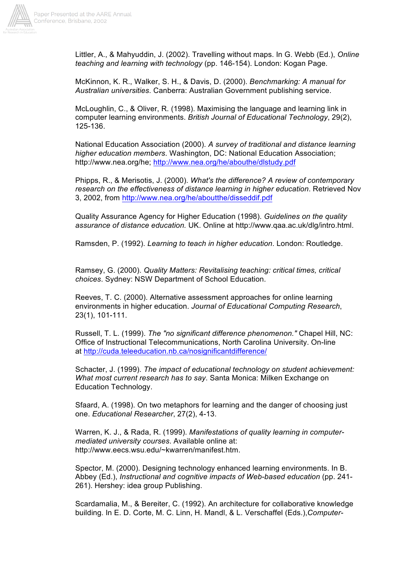

Littler, A., & Mahyuddin, J. (2002). Travelling without maps. In G. Webb (Ed.), *Online teaching and learning with technology* (pp. 146-154). London: Kogan Page.

McKinnon, K. R., Walker, S. H., & Davis, D. (2000). *Benchmarking: A manual for Australian universities*. Canberra: Australian Government publishing service.

McLoughlin, C., & Oliver, R. (1998). Maximising the language and learning link in computer learning environments. *British Journal of Educational Technology*, 29(2), 125-136.

National Education Association (2000). *A survey of traditional and distance learning higher education members*. Washington, DC: National Education Association; http://www.nea.org/he; http://www.nea.org/he/abouthe/dlstudy.pdf

Phipps, R., & Merisotis, J. (2000). *What's the difference? A review of contemporary research on the effectiveness of distance learning in higher education*. Retrieved Nov 3, 2002, from http://www.nea.org/he/aboutthe/disseddif.pdf

Quality Assurance Agency for Higher Education (1998). *Guidelines on the quality assurance of distance education.* UK. Online at http://www.qaa.ac.uk/dlg/intro.html.

Ramsden, P. (1992). *Learning to teach in higher education*. London: Routledge.

Ramsey, G. (2000). *Quality Matters: Revitalising teaching: critical times, critical choices*. Sydney: NSW Department of School Education.

Reeves, T. C. (2000). Alternative assessment approaches for online learning environments in higher education. *Journal of Educational Computing Research*, 23(1), 101-111.

Russell, T. L. (1999). *The "no significant difference phenomenon."* Chapel Hill, NC: Office of Instructional Telecommunications, North Carolina University. On-line at http://cuda.teleeducation.nb.ca/nosignificantdifference/

Schacter, J. (1999). *The impact of educational technology on student achievement: What most current research has to say*. Santa Monica: Milken Exchange on Education Technology.

Sfaard, A. (1998). On two metaphors for learning and the danger of choosing just one. *Educational Researcher*, 27(2), 4-13.

Warren, K. J., & Rada, R. (1999). *Manifestations of quality learning in computermediated university courses*. Available online at: http://www.eecs.wsu.edu/~kwarren/manifest.htm.

Spector, M. (2000). Designing technology enhanced learning environments. In B. Abbey (Ed.), *Instructional and cognitive impacts of Web-based education* (pp. 241- 261). Hershey: idea group Publishing.

Scardamalia, M., & Bereiter, C. (1992). An architecture for collaborative knowledge building. In E. D. Corte, M. C. Linn, H. Mandl, & L. Verschaffel (Eds.),*Computer-*